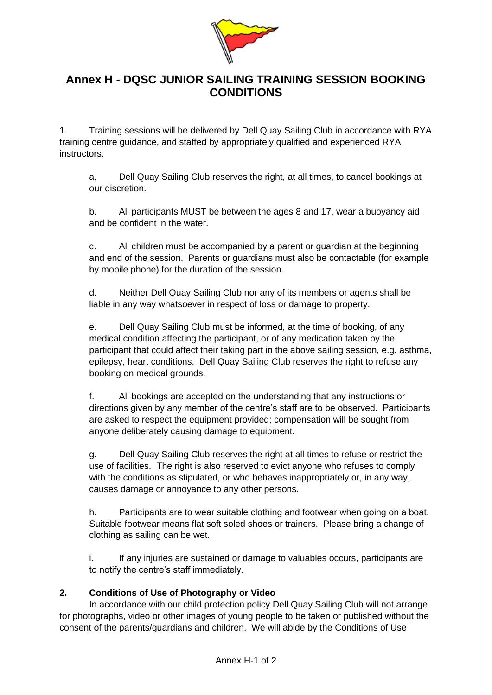

## **Annex H - DQSC JUNIOR SAILING TRAINING SESSION BOOKING CONDITIONS**

1. Training sessions will be delivered by Dell Quay Sailing Club in accordance with RYA training centre guidance, and staffed by appropriately qualified and experienced RYA instructors.

a. Dell Quay Sailing Club reserves the right, at all times, to cancel bookings at our discretion.

b. All participants MUST be between the ages 8 and 17, wear a buoyancy aid and be confident in the water.

c. All children must be accompanied by a parent or guardian at the beginning and end of the session. Parents or guardians must also be contactable (for example by mobile phone) for the duration of the session.

d. Neither Dell Quay Sailing Club nor any of its members or agents shall be liable in any way whatsoever in respect of loss or damage to property.

e. Dell Quay Sailing Club must be informed, at the time of booking, of any medical condition affecting the participant, or of any medication taken by the participant that could affect their taking part in the above sailing session, e.g. asthma, epilepsy, heart conditions. Dell Quay Sailing Club reserves the right to refuse any booking on medical grounds.

f. All bookings are accepted on the understanding that any instructions or directions given by any member of the centre's staff are to be observed. Participants are asked to respect the equipment provided; compensation will be sought from anyone deliberately causing damage to equipment.

g. Dell Quay Sailing Club reserves the right at all times to refuse or restrict the use of facilities. The right is also reserved to evict anyone who refuses to comply with the conditions as stipulated, or who behaves inappropriately or, in any way, causes damage or annoyance to any other persons.

h. Participants are to wear suitable clothing and footwear when going on a boat. Suitable footwear means flat soft soled shoes or trainers. Please bring a change of clothing as sailing can be wet.

i. If any injuries are sustained or damage to valuables occurs, participants are to notify the centre's staff immediately.

## **2. Conditions of Use of Photography or Video**

In accordance with our child protection policy Dell Quay Sailing Club will not arrange for photographs, video or other images of young people to be taken or published without the consent of the parents/guardians and children. We will abide by the Conditions of Use